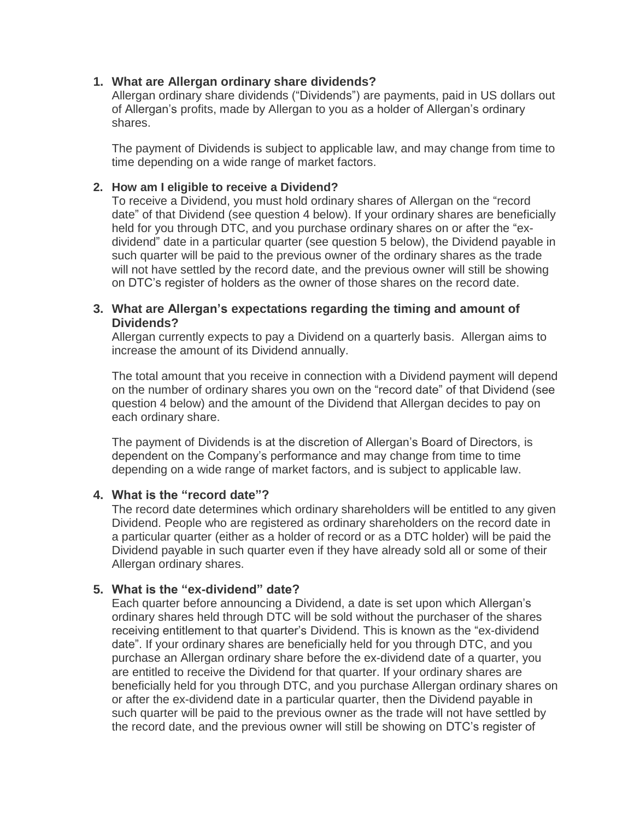## **1. What are Allergan ordinary share dividends?**

Allergan ordinary share dividends ("Dividends") are payments, paid in US dollars out of Allergan's profits, made by Allergan to you as a holder of Allergan's ordinary shares.

The payment of Dividends is subject to applicable law, and may change from time to time depending on a wide range of market factors.

## **2. How am I eligible to receive a Dividend?**

To receive a Dividend, you must hold ordinary shares of Allergan on the "record date" of that Dividend (see question 4 below). If your ordinary shares are beneficially held for you through DTC, and you purchase ordinary shares on or after the "exdividend" date in a particular quarter (see question 5 below), the Dividend payable in such quarter will be paid to the previous owner of the ordinary shares as the trade will not have settled by the record date, and the previous owner will still be showing on DTC's register of holders as the owner of those shares on the record date.

# **3. What are Allergan's expectations regarding the timing and amount of Dividends?**

Allergan currently expects to pay a Dividend on a quarterly basis. Allergan aims to increase the amount of its Dividend annually.

The total amount that you receive in connection with a Dividend payment will depend on the number of ordinary shares you own on the "record date" of that Dividend (see question 4 below) and the amount of the Dividend that Allergan decides to pay on each ordinary share.

The payment of Dividends is at the discretion of Allergan's Board of Directors, is dependent on the Company's performance and may change from time to time depending on a wide range of market factors, and is subject to applicable law.

### **4. What is the "record date"?**

The record date determines which ordinary shareholders will be entitled to any given Dividend. People who are registered as ordinary shareholders on the record date in a particular quarter (either as a holder of record or as a DTC holder) will be paid the Dividend payable in such quarter even if they have already sold all or some of their Allergan ordinary shares.

# **5. What is the "ex-dividend" date?**

Each quarter before announcing a Dividend, a date is set upon which Allergan's ordinary shares held through DTC will be sold without the purchaser of the shares receiving entitlement to that quarter's Dividend. This is known as the "ex-dividend date". If your ordinary shares are beneficially held for you through DTC, and you purchase an Allergan ordinary share before the ex-dividend date of a quarter, you are entitled to receive the Dividend for that quarter. If your ordinary shares are beneficially held for you through DTC, and you purchase Allergan ordinary shares on or after the ex-dividend date in a particular quarter, then the Dividend payable in such quarter will be paid to the previous owner as the trade will not have settled by the record date, and the previous owner will still be showing on DTC's register of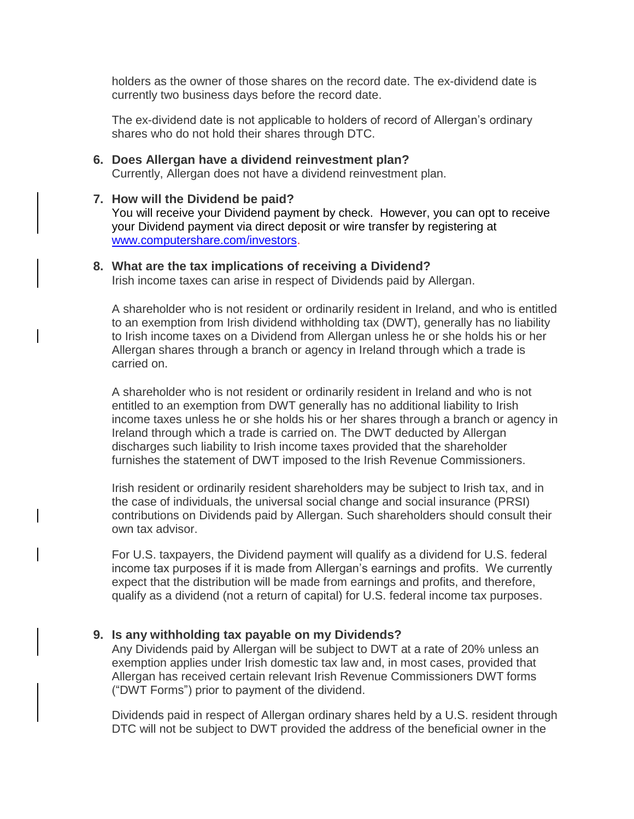holders as the owner of those shares on the record date. The ex-dividend date is currently two business days before the record date.

The ex-dividend date is not applicable to holders of record of Allergan's ordinary shares who do not hold their shares through DTC.

### **6. Does Allergan have a dividend reinvestment plan?** Currently, Allergan does not have a dividend reinvestment plan.

### **7. How will the Dividend be paid?**

You will receive your Dividend payment by check. However, you can opt to receive your Dividend payment via direct deposit or wire transfer by registering at [www.computershare.com/investors.](http://www.computershare.com/investors)

#### **8. What are the tax implications of receiving a Dividend?**

Irish income taxes can arise in respect of Dividends paid by Allergan.

A shareholder who is not resident or ordinarily resident in Ireland, and who is entitled to an exemption from Irish dividend withholding tax (DWT), generally has no liability to Irish income taxes on a Dividend from Allergan unless he or she holds his or her Allergan shares through a branch or agency in Ireland through which a trade is carried on.

A shareholder who is not resident or ordinarily resident in Ireland and who is not entitled to an exemption from DWT generally has no additional liability to Irish income taxes unless he or she holds his or her shares through a branch or agency in Ireland through which a trade is carried on. The DWT deducted by Allergan discharges such liability to Irish income taxes provided that the shareholder furnishes the statement of DWT imposed to the Irish Revenue Commissioners.

Irish resident or ordinarily resident shareholders may be subject to Irish tax, and in the case of individuals, the universal social change and social insurance (PRSI) contributions on Dividends paid by Allergan. Such shareholders should consult their own tax advisor.

For U.S. taxpayers, the Dividend payment will qualify as a dividend for U.S. federal income tax purposes if it is made from Allergan's earnings and profits. We currently expect that the distribution will be made from earnings and profits, and therefore, qualify as a dividend (not a return of capital) for U.S. federal income tax purposes.

### **9. Is any withholding tax payable on my Dividends?**

Any Dividends paid by Allergan will be subject to DWT at a rate of 20% unless an exemption applies under Irish domestic tax law and, in most cases, provided that Allergan has received certain relevant Irish Revenue Commissioners DWT forms ("DWT Forms") prior to payment of the dividend.

Dividends paid in respect of Allergan ordinary shares held by a U.S. resident through DTC will not be subject to DWT provided the address of the beneficial owner in the